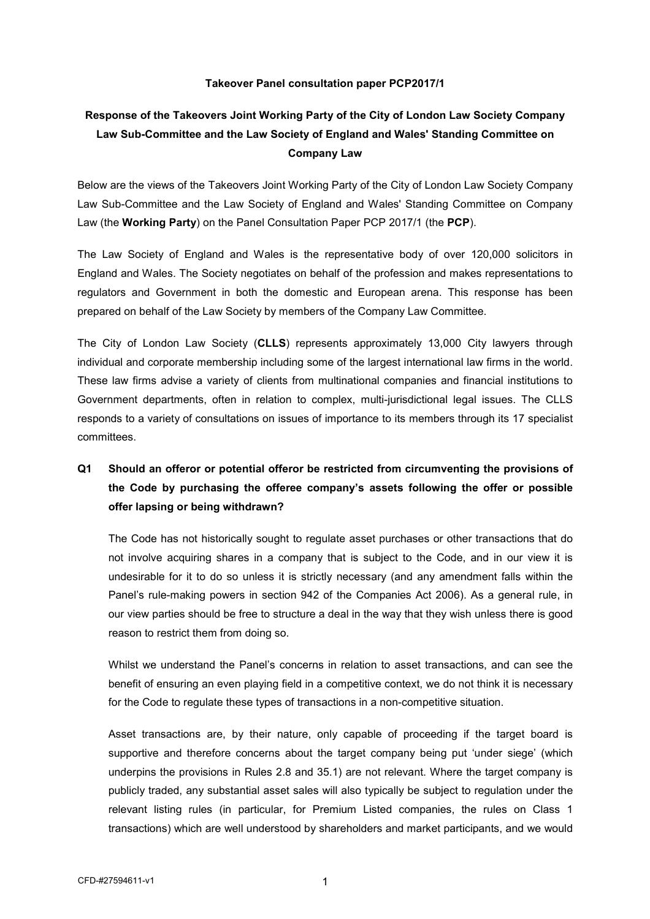### **Takeover Panel consultation paper PCP2017/1**

# **Response of the Takeovers Joint Working Party of the City of London Law Society Company Law Sub-Committee and the Law Society of England and Wales' Standing Committee on Company Law**

Below are the views of the Takeovers Joint Working Party of the City of London Law Society Company Law Sub-Committee and the Law Society of England and Wales' Standing Committee on Company Law (the **Working Party**) on the Panel Consultation Paper PCP 2017/1 (the **PCP**).

The Law Society of England and Wales is the representative body of over 120,000 solicitors in England and Wales. The Society negotiates on behalf of the profession and makes representations to regulators and Government in both the domestic and European arena. This response has been prepared on behalf of the Law Society by members of the Company Law Committee.

The City of London Law Society (**CLLS**) represents approximately 13,000 City lawyers through individual and corporate membership including some of the largest international law firms in the world. These law firms advise a variety of clients from multinational companies and financial institutions to Government departments, often in relation to complex, multi-jurisdictional legal issues. The CLLS responds to a variety of consultations on issues of importance to its members through its 17 specialist committees.

# **Q1 Should an offeror or potential offeror be restricted from circumventing the provisions of the Code by purchasing the offeree company's assets following the offer or possible offer lapsing or being withdrawn?**

The Code has not historically sought to regulate asset purchases or other transactions that do not involve acquiring shares in a company that is subject to the Code, and in our view it is undesirable for it to do so unless it is strictly necessary (and any amendment falls within the Panel's rule-making powers in section 942 of the Companies Act 2006). As a general rule, in our view parties should be free to structure a deal in the way that they wish unless there is good reason to restrict them from doing so.

Whilst we understand the Panel's concerns in relation to asset transactions, and can see the benefit of ensuring an even playing field in a competitive context, we do not think it is necessary for the Code to regulate these types of transactions in a non-competitive situation.

Asset transactions are, by their nature, only capable of proceeding if the target board is supportive and therefore concerns about the target company being put 'under siege' (which underpins the provisions in Rules 2.8 and 35.1) are not relevant. Where the target company is publicly traded, any substantial asset sales will also typically be subject to regulation under the relevant listing rules (in particular, for Premium Listed companies, the rules on Class 1 transactions) which are well understood by shareholders and market participants, and we would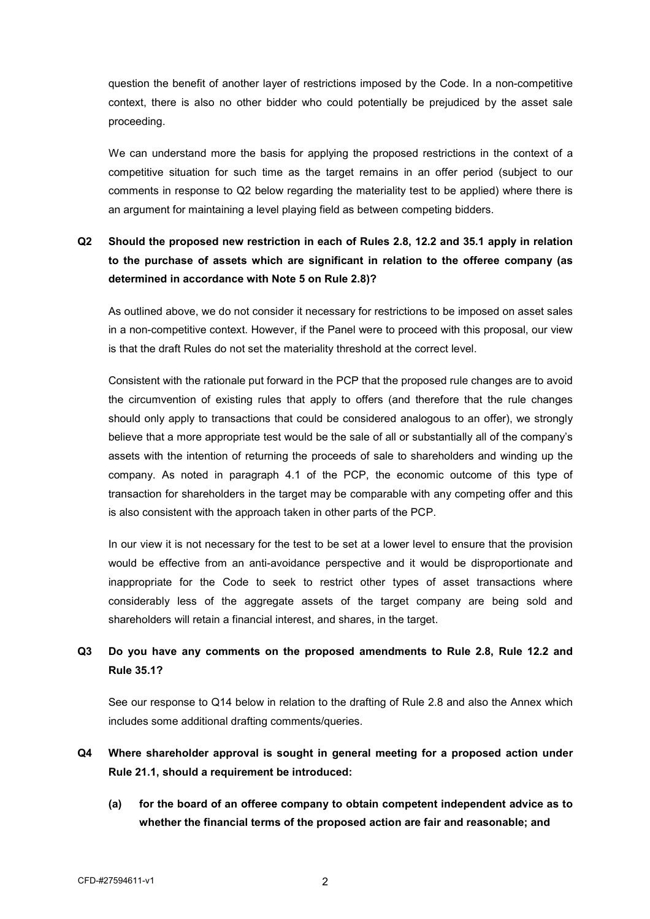question the benefit of another layer of restrictions imposed by the Code. In a non-competitive context, there is also no other bidder who could potentially be prejudiced by the asset sale proceeding.

We can understand more the basis for applying the proposed restrictions in the context of a competitive situation for such time as the target remains in an offer period (subject to our comments in response to Q2 below regarding the materiality test to be applied) where there is an argument for maintaining a level playing field as between competing bidders.

# **Q2 Should the proposed new restriction in each of Rules 2.8, 12.2 and 35.1 apply in relation to the purchase of assets which are significant in relation to the offeree company (as determined in accordance with Note 5 on Rule 2.8)?**

 As outlined above, we do not consider it necessary for restrictions to be imposed on asset sales in a non-competitive context. However, if the Panel were to proceed with this proposal, our view is that the draft Rules do not set the materiality threshold at the correct level.

 Consistent with the rationale put forward in the PCP that the proposed rule changes are to avoid the circumvention of existing rules that apply to offers (and therefore that the rule changes should only apply to transactions that could be considered analogous to an offer), we strongly believe that a more appropriate test would be the sale of all or substantially all of the company's assets with the intention of returning the proceeds of sale to shareholders and winding up the company. As noted in paragraph 4.1 of the PCP, the economic outcome of this type of transaction for shareholders in the target may be comparable with any competing offer and this is also consistent with the approach taken in other parts of the PCP.

In our view it is not necessary for the test to be set at a lower level to ensure that the provision would be effective from an anti-avoidance perspective and it would be disproportionate and inappropriate for the Code to seek to restrict other types of asset transactions where considerably less of the aggregate assets of the target company are being sold and shareholders will retain a financial interest, and shares, in the target.

## **Q3 Do you have any comments on the proposed amendments to Rule 2.8, Rule 12.2 and Rule 35.1?**

See our response to Q14 below in relation to the drafting of Rule 2.8 and also the Annex which includes some additional drafting comments/queries.

- **Q4 Where shareholder approval is sought in general meeting for a proposed action under Rule 21.1, should a requirement be introduced:** 
	- **(a) for the board of an offeree company to obtain competent independent advice as to whether the financial terms of the proposed action are fair and reasonable; and**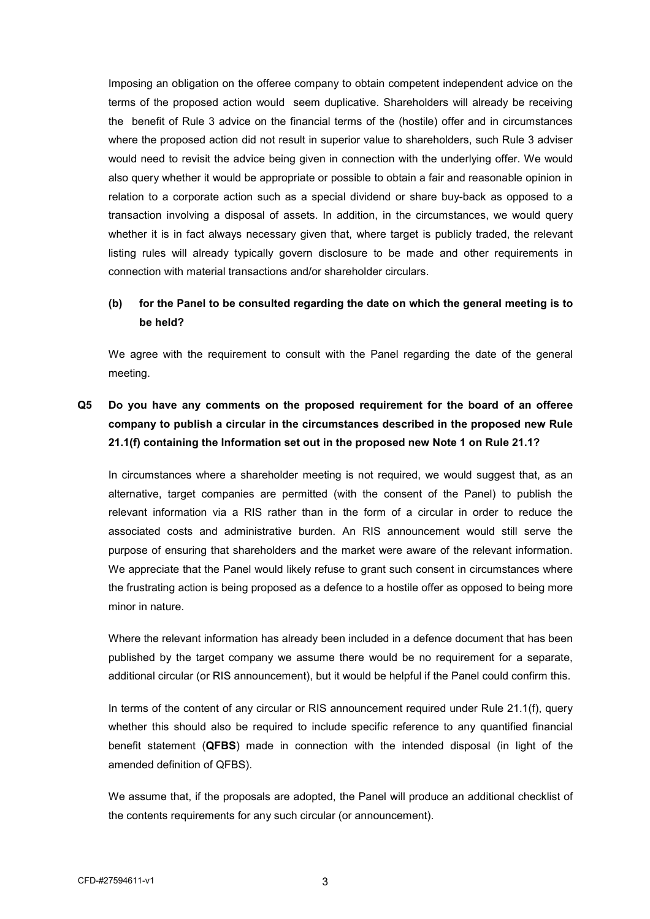Imposing an obligation on the offeree company to obtain competent independent advice on the terms of the proposed action would seem duplicative. Shareholders will already be receiving the benefit of Rule 3 advice on the financial terms of the (hostile) offer and in circumstances where the proposed action did not result in superior value to shareholders, such Rule 3 adviser would need to revisit the advice being given in connection with the underlying offer. We would also query whether it would be appropriate or possible to obtain a fair and reasonable opinion in relation to a corporate action such as a special dividend or share buy-back as opposed to a transaction involving a disposal of assets. In addition, in the circumstances, we would query whether it is in fact always necessary given that, where target is publicly traded, the relevant listing rules will already typically govern disclosure to be made and other requirements in connection with material transactions and/or shareholder circulars.

## **(b) for the Panel to be consulted regarding the date on which the general meeting is to be held?**

We agree with the requirement to consult with the Panel regarding the date of the general meeting.

# **Q5 Do you have any comments on the proposed requirement for the board of an offeree company to publish a circular in the circumstances described in the proposed new Rule 21.1(f) containing the Information set out in the proposed new Note 1 on Rule 21.1?**

 In circumstances where a shareholder meeting is not required, we would suggest that, as an alternative, target companies are permitted (with the consent of the Panel) to publish the relevant information via a RIS rather than in the form of a circular in order to reduce the associated costs and administrative burden. An RIS announcement would still serve the purpose of ensuring that shareholders and the market were aware of the relevant information. We appreciate that the Panel would likely refuse to grant such consent in circumstances where the frustrating action is being proposed as a defence to a hostile offer as opposed to being more minor in nature.

Where the relevant information has already been included in a defence document that has been published by the target company we assume there would be no requirement for a separate, additional circular (or RIS announcement), but it would be helpful if the Panel could confirm this.

 In terms of the content of any circular or RIS announcement required under Rule 21.1(f), query whether this should also be required to include specific reference to any quantified financial benefit statement (**QFBS**) made in connection with the intended disposal (in light of the amended definition of QFBS).

We assume that, if the proposals are adopted, the Panel will produce an additional checklist of the contents requirements for any such circular (or announcement).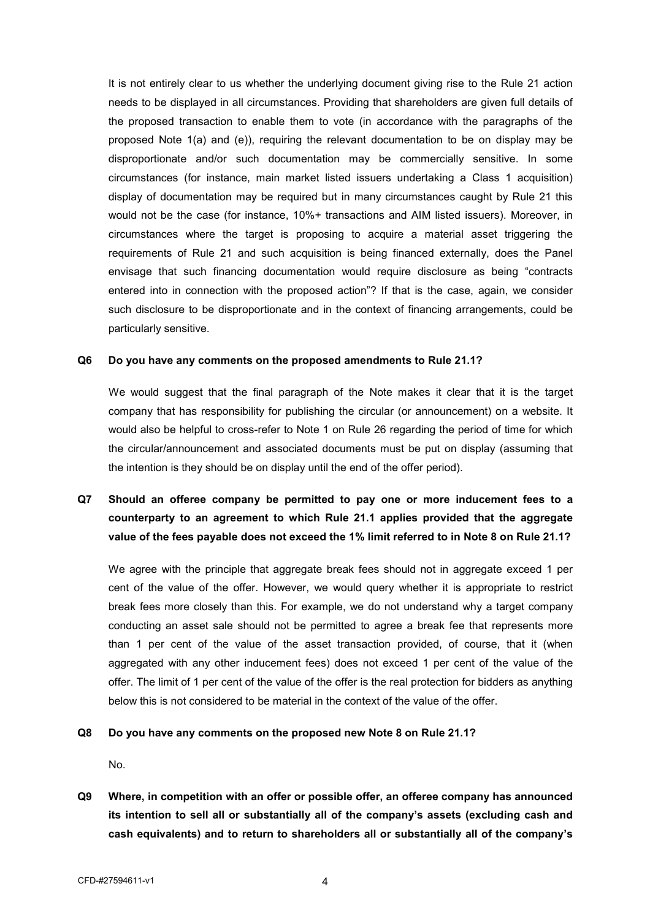It is not entirely clear to us whether the underlying document giving rise to the Rule 21 action needs to be displayed in all circumstances. Providing that shareholders are given full details of the proposed transaction to enable them to vote (in accordance with the paragraphs of the proposed Note 1(a) and (e)), requiring the relevant documentation to be on display may be disproportionate and/or such documentation may be commercially sensitive. In some circumstances (for instance, main market listed issuers undertaking a Class 1 acquisition) display of documentation may be required but in many circumstances caught by Rule 21 this would not be the case (for instance, 10%+ transactions and AIM listed issuers). Moreover, in circumstances where the target is proposing to acquire a material asset triggering the requirements of Rule 21 and such acquisition is being financed externally, does the Panel envisage that such financing documentation would require disclosure as being "contracts entered into in connection with the proposed action"? If that is the case, again, we consider such disclosure to be disproportionate and in the context of financing arrangements, could be particularly sensitive.

### **Q6 Do you have any comments on the proposed amendments to Rule 21.1?**

We would suggest that the final paragraph of the Note makes it clear that it is the target company that has responsibility for publishing the circular (or announcement) on a website. It would also be helpful to cross-refer to Note 1 on Rule 26 regarding the period of time for which the circular/announcement and associated documents must be put on display (assuming that the intention is they should be on display until the end of the offer period).

## **Q7 Should an offeree company be permitted to pay one or more inducement fees to a counterparty to an agreement to which Rule 21.1 applies provided that the aggregate value of the fees payable does not exceed the 1% limit referred to in Note 8 on Rule 21.1?**

 We agree with the principle that aggregate break fees should not in aggregate exceed 1 per cent of the value of the offer. However, we would query whether it is appropriate to restrict break fees more closely than this. For example, we do not understand why a target company conducting an asset sale should not be permitted to agree a break fee that represents more than 1 per cent of the value of the asset transaction provided, of course, that it (when aggregated with any other inducement fees) does not exceed 1 per cent of the value of the offer. The limit of 1 per cent of the value of the offer is the real protection for bidders as anything below this is not considered to be material in the context of the value of the offer.

### **Q8 Do you have any comments on the proposed new Note 8 on Rule 21.1?**

No.

**Q9 Where, in competition with an offer or possible offer, an offeree company has announced its intention to sell all or substantially all of the company's assets (excluding cash and cash equivalents) and to return to shareholders all or substantially all of the company's**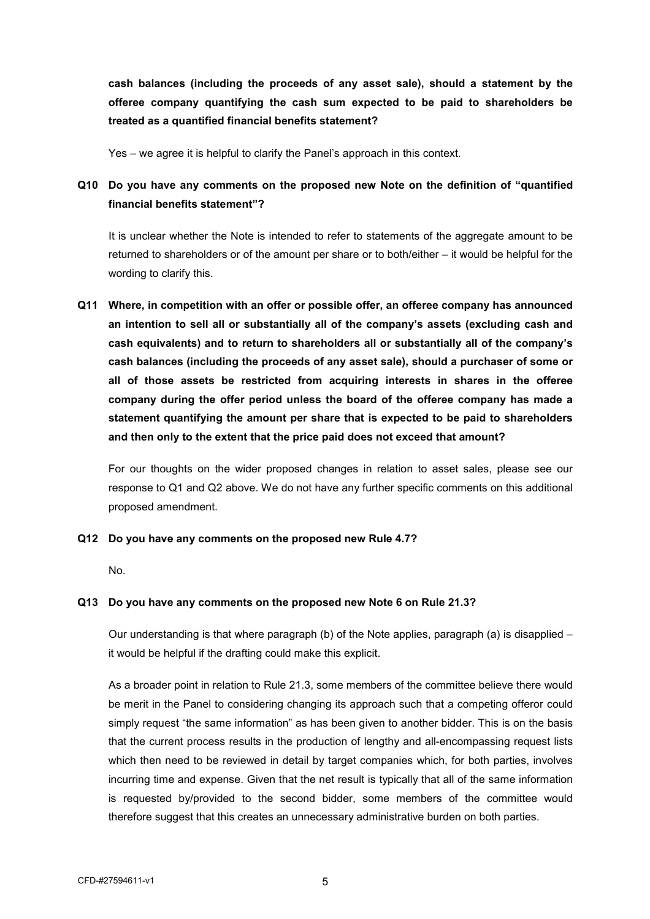**cash balances (including the proceeds of any asset sale), should a statement by the offeree company quantifying the cash sum expected to be paid to shareholders be treated as a quantified financial benefits statement?** 

Yes – we agree it is helpful to clarify the Panel's approach in this context.

## **Q10 Do you have any comments on the proposed new Note on the definition of "quantified financial benefits statement"?**

It is unclear whether the Note is intended to refer to statements of the aggregate amount to be returned to shareholders or of the amount per share or to both/either – it would be helpful for the wording to clarify this.

**Q11 Where, in competition with an offer or possible offer, an offeree company has announced an intention to sell all or substantially all of the company's assets (excluding cash and cash equivalents) and to return to shareholders all or substantially all of the company's cash balances (including the proceeds of any asset sale), should a purchaser of some or all of those assets be restricted from acquiring interests in shares in the offeree company during the offer period unless the board of the offeree company has made a statement quantifying the amount per share that is expected to be paid to shareholders and then only to the extent that the price paid does not exceed that amount?** 

For our thoughts on the wider proposed changes in relation to asset sales, please see our response to Q1 and Q2 above. We do not have any further specific comments on this additional proposed amendment.

### **Q12 Do you have any comments on the proposed new Rule 4.7?**

No.

### **Q13 Do you have any comments on the proposed new Note 6 on Rule 21.3?**

Our understanding is that where paragraph (b) of the Note applies, paragraph (a) is disapplied – it would be helpful if the drafting could make this explicit.

As a broader point in relation to Rule 21.3, some members of the committee believe there would be merit in the Panel to considering changing its approach such that a competing offeror could simply request "the same information" as has been given to another bidder. This is on the basis that the current process results in the production of lengthy and all-encompassing request lists which then need to be reviewed in detail by target companies which, for both parties, involves incurring time and expense. Given that the net result is typically that all of the same information is requested by/provided to the second bidder, some members of the committee would therefore suggest that this creates an unnecessary administrative burden on both parties.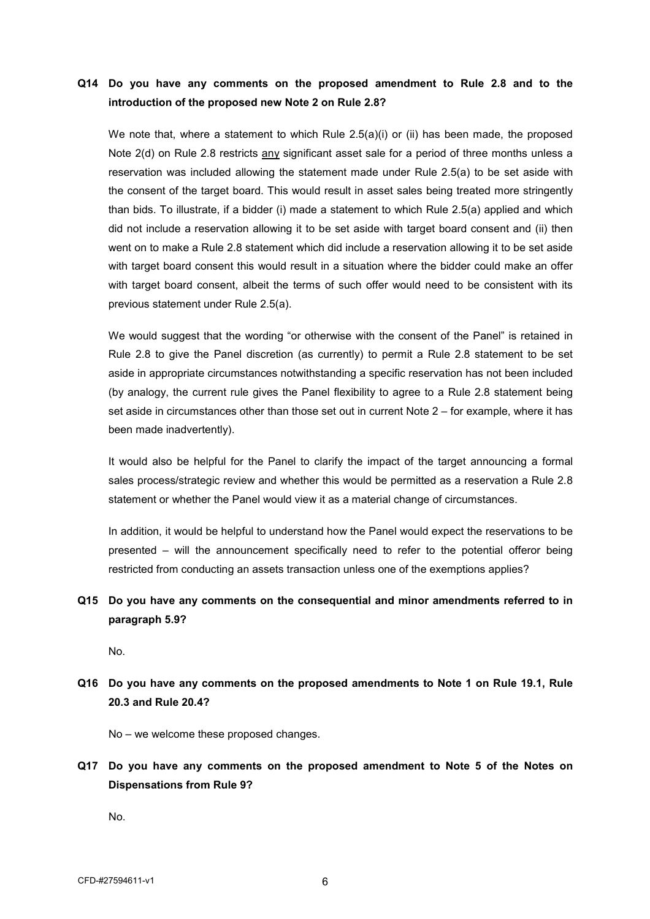### **Q14 Do you have any comments on the proposed amendment to Rule 2.8 and to the introduction of the proposed new Note 2 on Rule 2.8?**

We note that, where a statement to which Rule 2.5(a)(i) or (ii) has been made, the proposed Note 2(d) on Rule 2.8 restricts any significant asset sale for a period of three months unless a reservation was included allowing the statement made under Rule 2.5(a) to be set aside with the consent of the target board. This would result in asset sales being treated more stringently than bids. To illustrate, if a bidder (i) made a statement to which Rule 2.5(a) applied and which did not include a reservation allowing it to be set aside with target board consent and (ii) then went on to make a Rule 2.8 statement which did include a reservation allowing it to be set aside with target board consent this would result in a situation where the bidder could make an offer with target board consent, albeit the terms of such offer would need to be consistent with its previous statement under Rule 2.5(a).

We would suggest that the wording "or otherwise with the consent of the Panel" is retained in Rule 2.8 to give the Panel discretion (as currently) to permit a Rule 2.8 statement to be set aside in appropriate circumstances notwithstanding a specific reservation has not been included (by analogy, the current rule gives the Panel flexibility to agree to a Rule 2.8 statement being set aside in circumstances other than those set out in current Note 2 – for example, where it has been made inadvertently).

It would also be helpful for the Panel to clarify the impact of the target announcing a formal sales process/strategic review and whether this would be permitted as a reservation a Rule 2.8 statement or whether the Panel would view it as a material change of circumstances.

 In addition, it would be helpful to understand how the Panel would expect the reservations to be presented – will the announcement specifically need to refer to the potential offeror being restricted from conducting an assets transaction unless one of the exemptions applies?

## **Q15 Do you have any comments on the consequential and minor amendments referred to in paragraph 5.9?**

No.

## **Q16 Do you have any comments on the proposed amendments to Note 1 on Rule 19.1, Rule 20.3 and Rule 20.4?**

No – we welcome these proposed changes.

**Q17 Do you have any comments on the proposed amendment to Note 5 of the Notes on Dispensations from Rule 9?** 

No.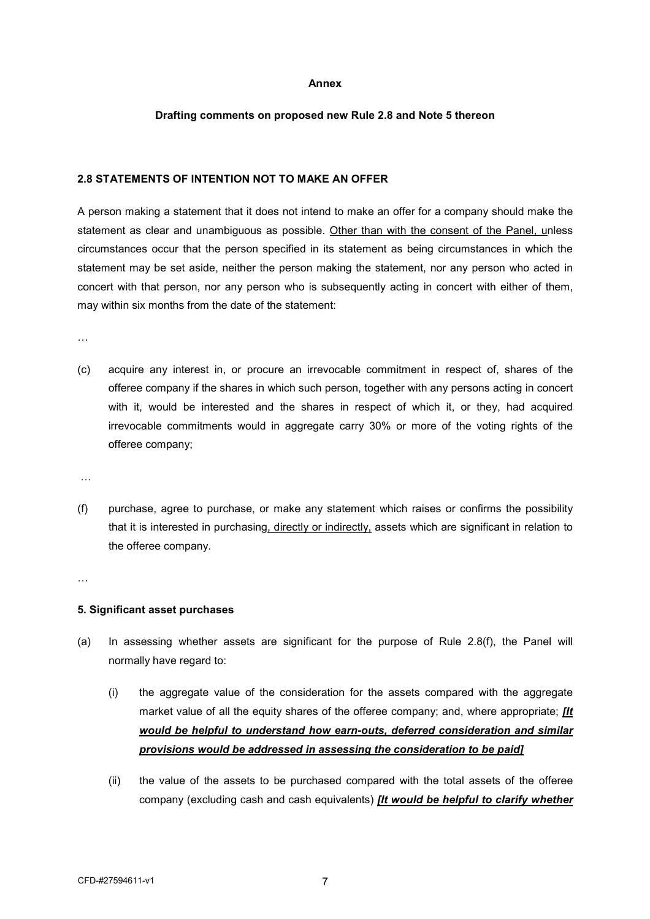#### **Annex**

### **Drafting comments on proposed new Rule 2.8 and Note 5 thereon**

### **2.8 STATEMENTS OF INTENTION NOT TO MAKE AN OFFER**

A person making a statement that it does not intend to make an offer for a company should make the statement as clear and unambiguous as possible. Other than with the consent of the Panel, unless circumstances occur that the person specified in its statement as being circumstances in which the statement may be set aside, neither the person making the statement, nor any person who acted in concert with that person, nor any person who is subsequently acting in concert with either of them, may within six months from the date of the statement:

…

(c) acquire any interest in, or procure an irrevocable commitment in respect of, shares of the offeree company if the shares in which such person, together with any persons acting in concert with it, would be interested and the shares in respect of which it, or they, had acquired irrevocable commitments would in aggregate carry 30% or more of the voting rights of the offeree company;

…

(f) purchase, agree to purchase, or make any statement which raises or confirms the possibility that it is interested in purchasing, directly or indirectly, assets which are significant in relation to the offeree company.

…

### **5. Significant asset purchases**

- (a) In assessing whether assets are significant for the purpose of Rule 2.8(f), the Panel will normally have regard to:
	- (i) the aggregate value of the consideration for the assets compared with the aggregate market value of all the equity shares of the offeree company; and, where appropriate; *[It would be helpful to understand how earn-outs, deferred consideration and similar provisions would be addressed in assessing the consideration to be paid]*
	- (ii) the value of the assets to be purchased compared with the total assets of the offeree company (excluding cash and cash equivalents) *[It would be helpful to clarify whether*